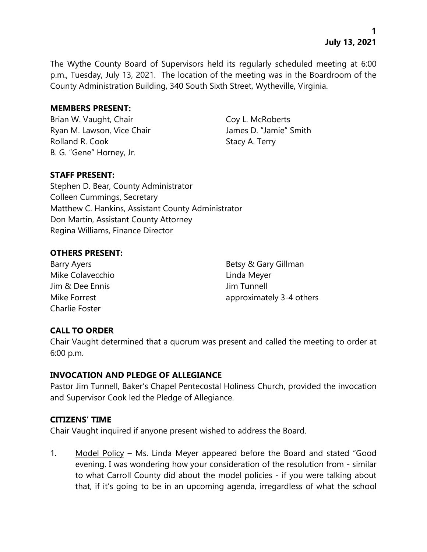The Wythe County Board of Supervisors held its regularly scheduled meeting at 6:00 p.m., Tuesday, July 13, 2021. The location of the meeting was in the Boardroom of the County Administration Building, 340 South Sixth Street, Wytheville, Virginia.

#### **MEMBERS PRESENT:**

Brian W. Vaught, Chair Coy L. McRoberts Ryan M. Lawson, Vice Chair **James D. "Jamie"** Smith Rolland R. Cook Stacy A. Terry B. G. "Gene" Horney, Jr.

## **STAFF PRESENT:**

Stephen D. Bear, County Administrator Colleen Cummings, Secretary Matthew C. Hankins, Assistant County Administrator Don Martin, Assistant County Attorney Regina Williams, Finance Director

## **OTHERS PRESENT:**

Mike Colavecchio **Linda Meyer** Jim & Dee Ennis Jim Tunnell Charlie Foster

Barry Ayers **Barry Ayers** Barry Ayers **Betsy & Gary Gillman** Mike Forrest approximately 3-4 others

## **CALL TO ORDER**

Chair Vaught determined that a quorum was present and called the meeting to order at 6:00 p.m.

## **INVOCATION AND PLEDGE OF ALLEGIANCE**

Pastor Jim Tunnell, Baker's Chapel Pentecostal Holiness Church, provided the invocation and Supervisor Cook led the Pledge of Allegiance.

## **CITIZENS' TIME**

Chair Vaught inquired if anyone present wished to address the Board.

1. Model Policy – Ms. Linda Meyer appeared before the Board and stated "Good evening. I was wondering how your consideration of the resolution from - similar to what Carroll County did about the model policies - if you were talking about that, if it's going to be in an upcoming agenda, irregardless of what the school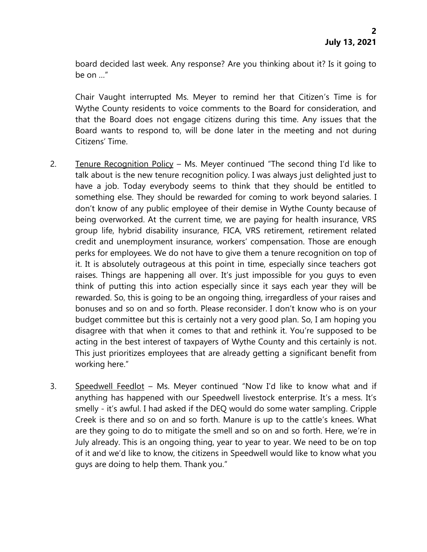board decided last week. Any response? Are you thinking about it? Is it going to be on …"

Chair Vaught interrupted Ms. Meyer to remind her that Citizen's Time is for Wythe County residents to voice comments to the Board for consideration, and that the Board does not engage citizens during this time. Any issues that the Board wants to respond to, will be done later in the meeting and not during Citizens' Time.

- 2. Tenure Recognition Policy Ms. Meyer continued "The second thing I'd like to talk about is the new tenure recognition policy. I was always just delighted just to have a job. Today everybody seems to think that they should be entitled to something else. They should be rewarded for coming to work beyond salaries. I don't know of any public employee of their demise in Wythe County because of being overworked. At the current time, we are paying for health insurance, VRS group life, hybrid disability insurance, FICA, VRS retirement, retirement related credit and unemployment insurance, workers' compensation. Those are enough perks for employees. We do not have to give them a tenure recognition on top of it. It is absolutely outrageous at this point in time, especially since teachers got raises. Things are happening all over. It's just impossible for you guys to even think of putting this into action especially since it says each year they will be rewarded. So, this is going to be an ongoing thing, irregardless of your raises and bonuses and so on and so forth. Please reconsider. I don't know who is on your budget committee but this is certainly not a very good plan. So, I am hoping you disagree with that when it comes to that and rethink it. You're supposed to be acting in the best interest of taxpayers of Wythe County and this certainly is not. This just prioritizes employees that are already getting a significant benefit from working here."
- 3. Speedwell Feedlot Ms. Meyer continued "Now I'd like to know what and if anything has happened with our Speedwell livestock enterprise. It's a mess. It's smelly - it's awful. I had asked if the DEQ would do some water sampling. Cripple Creek is there and so on and so forth. Manure is up to the cattle's knees. What are they going to do to mitigate the smell and so on and so forth. Here, we're in July already. This is an ongoing thing, year to year to year. We need to be on top of it and we'd like to know, the citizens in Speedwell would like to know what you guys are doing to help them. Thank you."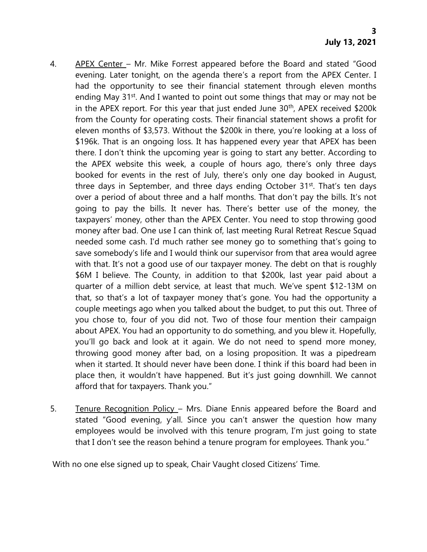- 4. APEX Center Mr. Mike Forrest appeared before the Board and stated "Good evening. Later tonight, on the agenda there's a report from the APEX Center. I had the opportunity to see their financial statement through eleven months ending May 31<sup>st</sup>. And I wanted to point out some things that may or may not be in the APEX report. For this year that just ended June  $30<sup>th</sup>$ , APEX received \$200k from the County for operating costs. Their financial statement shows a profit for eleven months of \$3,573. Without the \$200k in there, you're looking at a loss of \$196k. That is an ongoing loss. It has happened every year that APEX has been there. I don't think the upcoming year is going to start any better. According to the APEX website this week, a couple of hours ago, there's only three days booked for events in the rest of July, there's only one day booked in August, three days in September, and three days ending October 31<sup>st</sup>. That's ten days over a period of about three and a half months. That don't pay the bills. It's not going to pay the bills. It never has. There's better use of the money, the taxpayers' money, other than the APEX Center. You need to stop throwing good money after bad. One use I can think of, last meeting Rural Retreat Rescue Squad needed some cash. I'd much rather see money go to something that's going to save somebody's life and I would think our supervisor from that area would agree with that. It's not a good use of our taxpayer money. The debt on that is roughly \$6M I believe. The County, in addition to that \$200k, last year paid about a quarter of a million debt service, at least that much. We've spent \$12-13M on that, so that's a lot of taxpayer money that's gone. You had the opportunity a couple meetings ago when you talked about the budget, to put this out. Three of you chose to, four of you did not. Two of those four mention their campaign about APEX. You had an opportunity to do something, and you blew it. Hopefully, you'll go back and look at it again. We do not need to spend more money, throwing good money after bad, on a losing proposition. It was a pipedream when it started. It should never have been done. I think if this board had been in place then, it wouldn't have happened. But it's just going downhill. We cannot afford that for taxpayers. Thank you."
- 5. Tenure Recognition Policy Mrs. Diane Ennis appeared before the Board and stated "Good evening, y'all. Since you can't answer the question how many employees would be involved with this tenure program, I'm just going to state that I don't see the reason behind a tenure program for employees. Thank you."

With no one else signed up to speak, Chair Vaught closed Citizens' Time.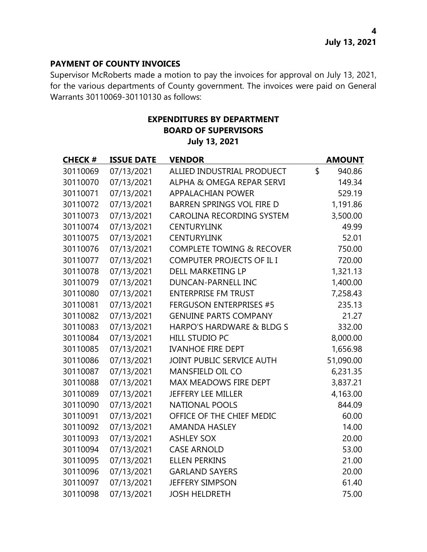#### **PAYMENT OF COUNTY INVOICES**

Supervisor McRoberts made a motion to pay the invoices for approval on July 13, 2021, for the various departments of County government. The invoices were paid on General Warrants 30110069-30110130 as follows:

# **EXPENDITURES BY DEPARTMENT BOARD OF SUPERVISORS July 13, 2021**

| <b>CHECK#</b> | <b>ISSUE DATE</b> | <b>VENDOR</b>                        | <b>AMOUNT</b> |
|---------------|-------------------|--------------------------------------|---------------|
| 30110069      | 07/13/2021        | ALLIED INDUSTRIAL PRODUECT           | \$<br>940.86  |
| 30110070      | 07/13/2021        | ALPHA & OMEGA REPAR SERVI            | 149.34        |
| 30110071      | 07/13/2021        | <b>APPALACHIAN POWER</b>             | 529.19        |
| 30110072      | 07/13/2021        | <b>BARREN SPRINGS VOL FIRE D</b>     | 1,191.86      |
| 30110073      | 07/13/2021        | <b>CAROLINA RECORDING SYSTEM</b>     | 3,500.00      |
| 30110074      | 07/13/2021        | <b>CENTURYLINK</b>                   | 49.99         |
| 30110075      | 07/13/2021        | <b>CENTURYLINK</b>                   | 52.01         |
| 30110076      | 07/13/2021        | <b>COMPLETE TOWING &amp; RECOVER</b> | 750.00        |
| 30110077      | 07/13/2021        | COMPUTER PROJECTS OF IL I            | 720.00        |
| 30110078      | 07/13/2021        | DELL MARKETING LP                    | 1,321.13      |
| 30110079      | 07/13/2021        | DUNCAN-PARNELL INC                   | 1,400.00      |
| 30110080      | 07/13/2021        | <b>ENTERPRISE FM TRUST</b>           | 7,258.43      |
| 30110081      | 07/13/2021        | <b>FERGUSON ENTERPRISES #5</b>       | 235.13        |
| 30110082      | 07/13/2021        | <b>GENUINE PARTS COMPANY</b>         | 21.27         |
| 30110083      | 07/13/2021        | HARPO'S HARDWARE & BLDG S            | 332.00        |
| 30110084      | 07/13/2021        | <b>HILL STUDIO PC</b>                | 8,000.00      |
| 30110085      | 07/13/2021        | <b>IVANHOE FIRE DEPT</b>             | 1,656.98      |
| 30110086      | 07/13/2021        | JOINT PUBLIC SERVICE AUTH            | 51,090.00     |
| 30110087      | 07/13/2021        | MANSFIELD OIL CO                     | 6,231.35      |
| 30110088      | 07/13/2021        | MAX MEADOWS FIRE DEPT                | 3,837.21      |
| 30110089      | 07/13/2021        | <b>JEFFERY LEE MILLER</b>            | 4,163.00      |
| 30110090      | 07/13/2021        | <b>NATIONAL POOLS</b>                | 844.09        |
| 30110091      | 07/13/2021        | OFFICE OF THE CHIEF MEDIC            | 60.00         |
| 30110092      | 07/13/2021        | <b>AMANDA HASLEY</b>                 | 14.00         |
| 30110093      | 07/13/2021        | <b>ASHLEY SOX</b>                    | 20.00         |
| 30110094      | 07/13/2021        | <b>CASE ARNOLD</b>                   | 53.00         |
| 30110095      | 07/13/2021        | <b>ELLEN PERKINS</b>                 | 21.00         |
| 30110096      | 07/13/2021        | <b>GARLAND SAYERS</b>                | 20.00         |
| 30110097      | 07/13/2021        | <b>JEFFERY SIMPSON</b>               | 61.40         |
| 30110098      | 07/13/2021        | <b>JOSH HELDRETH</b>                 | 75.00         |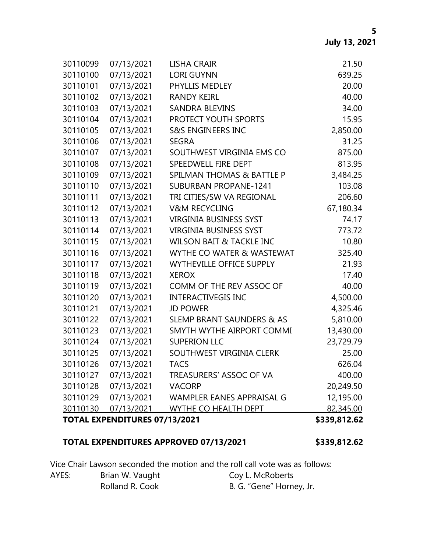| 30110099 | 07/13/2021                           | LISHA CRAIR                          | 21.50        |
|----------|--------------------------------------|--------------------------------------|--------------|
| 30110100 | 07/13/2021                           | <b>LORI GUYNN</b>                    | 639.25       |
| 30110101 | 07/13/2021                           | PHYLLIS MEDLEY                       | 20.00        |
| 30110102 | 07/13/2021                           | <b>RANDY KEIRL</b>                   | 40.00        |
| 30110103 | 07/13/2021                           | <b>SANDRA BLEVINS</b>                | 34.00        |
| 30110104 | 07/13/2021                           | PROTECT YOUTH SPORTS                 | 15.95        |
| 30110105 | 07/13/2021                           | <b>S&amp;S ENGINEERS INC</b>         | 2,850.00     |
| 30110106 | 07/13/2021                           | <b>SEGRA</b>                         | 31.25        |
| 30110107 | 07/13/2021                           | SOUTHWEST VIRGINIA EMS CO            | 875.00       |
| 30110108 | 07/13/2021                           | SPEEDWELL FIRE DEPT                  | 813.95       |
| 30110109 | 07/13/2021                           | SPILMAN THOMAS & BATTLE P            | 3,484.25     |
| 30110110 | 07/13/2021                           | <b>SUBURBAN PROPANE-1241</b>         | 103.08       |
| 30110111 | 07/13/2021                           | TRI CITIES/SW VA REGIONAL            | 206.60       |
| 30110112 | 07/13/2021                           | <b>V&amp;M RECYCLING</b>             | 67,180.34    |
| 30110113 | 07/13/2021                           | <b>VIRGINIA BUSINESS SYST</b>        | 74.17        |
| 30110114 | 07/13/2021                           | <b>VIRGINIA BUSINESS SYST</b>        | 773.72       |
| 30110115 | 07/13/2021                           | <b>WILSON BAIT &amp; TACKLE INC</b>  | 10.80        |
| 30110116 | 07/13/2021                           | WYTHE CO WATER & WASTEWAT            | 325.40       |
| 30110117 | 07/13/2021                           | <b>WYTHEVILLE OFFICE SUPPLY</b>      | 21.93        |
| 30110118 | 07/13/2021                           | <b>XEROX</b>                         | 17.40        |
| 30110119 | 07/13/2021                           | COMM OF THE REV ASSOC OF             | 40.00        |
| 30110120 | 07/13/2021                           | <b>INTERACTIVEGIS INC</b>            | 4,500.00     |
| 30110121 | 07/13/2021                           | <b>JD POWER</b>                      | 4,325.46     |
| 30110122 | 07/13/2021                           | <b>SLEMP BRANT SAUNDERS &amp; AS</b> | 5,810.00     |
| 30110123 | 07/13/2021                           | SMYTH WYTHE AIRPORT COMMI            | 13,430.00    |
| 30110124 | 07/13/2021                           | <b>SUPERION LLC</b>                  | 23,729.79    |
| 30110125 | 07/13/2021                           | SOUTHWEST VIRGINIA CLERK             | 25.00        |
| 30110126 | 07/13/2021                           | <b>TACS</b>                          | 626.04       |
| 30110127 | 07/13/2021                           | TREASURERS' ASSOC OF VA              | 400.00       |
| 30110128 | 07/13/2021                           | <b>VACORP</b>                        | 20,249.50    |
| 30110129 | 07/13/2021                           | WAMPLER EANES APPRAISAL G            | 12,195.00    |
| 30110130 | 07/13/2021                           | WYTHE CO HEALTH DEPT                 | 82,345.00    |
|          | <b>TOTAL EXPENDITURES 07/13/2021</b> |                                      | \$339,812.62 |

# **TOTAL EXPENDITURES APPROVED 07/13/2021 \$339,812.62**

Vice Chair Lawson seconded the motion and the roll call vote was as follows:

| AYES: | Brian W. Vaught | Coy L. McRoberts         |
|-------|-----------------|--------------------------|
|       | Rolland R. Cook | B. G. "Gene" Horney, Jr. |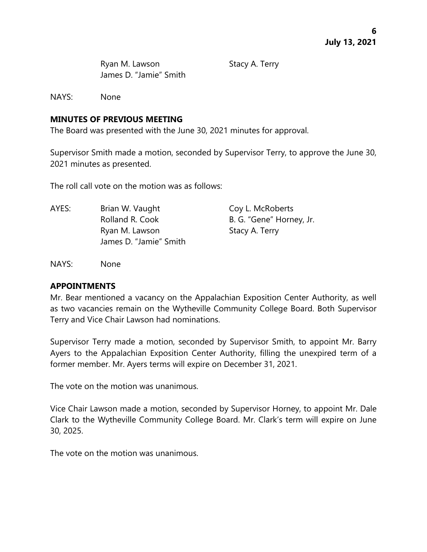Ryan M. Lawson Stacy A. Terry James D. "Jamie" Smith

NAYS: None

## **MINUTES OF PREVIOUS MEETING**

The Board was presented with the June 30, 2021 minutes for approval.

Supervisor Smith made a motion, seconded by Supervisor Terry, to approve the June 30, 2021 minutes as presented.

The roll call vote on the motion was as follows:

AYES: Brian W. Vaught Coy L. McRoberts Rolland R. Cook B. G. "Gene" Horney, Jr. Ryan M. Lawson Stacy A. Terry James D. "Jamie" Smith

NAYS: None

## **APPOINTMENTS**

Mr. Bear mentioned a vacancy on the Appalachian Exposition Center Authority, as well as two vacancies remain on the Wytheville Community College Board. Both Supervisor Terry and Vice Chair Lawson had nominations.

Supervisor Terry made a motion, seconded by Supervisor Smith, to appoint Mr. Barry Ayers to the Appalachian Exposition Center Authority, filling the unexpired term of a former member. Mr. Ayers terms will expire on December 31, 2021.

The vote on the motion was unanimous.

Vice Chair Lawson made a motion, seconded by Supervisor Horney, to appoint Mr. Dale Clark to the Wytheville Community College Board. Mr. Clark's term will expire on June 30, 2025.

The vote on the motion was unanimous.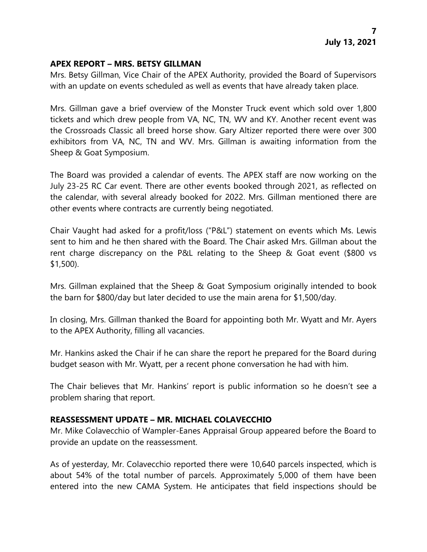#### **APEX REPORT – MRS. BETSY GILLMAN**

Mrs. Betsy Gillman, Vice Chair of the APEX Authority, provided the Board of Supervisors with an update on events scheduled as well as events that have already taken place.

Mrs. Gillman gave a brief overview of the Monster Truck event which sold over 1,800 tickets and which drew people from VA, NC, TN, WV and KY. Another recent event was the Crossroads Classic all breed horse show. Gary Altizer reported there were over 300 exhibitors from VA, NC, TN and WV. Mrs. Gillman is awaiting information from the Sheep & Goat Symposium.

The Board was provided a calendar of events. The APEX staff are now working on the July 23-25 RC Car event. There are other events booked through 2021, as reflected on the calendar, with several already booked for 2022. Mrs. Gillman mentioned there are other events where contracts are currently being negotiated.

Chair Vaught had asked for a profit/loss ("P&L") statement on events which Ms. Lewis sent to him and he then shared with the Board. The Chair asked Mrs. Gillman about the rent charge discrepancy on the P&L relating to the Sheep & Goat event (\$800 vs \$1,500).

Mrs. Gillman explained that the Sheep & Goat Symposium originally intended to book the barn for \$800/day but later decided to use the main arena for \$1,500/day.

In closing, Mrs. Gillman thanked the Board for appointing both Mr. Wyatt and Mr. Ayers to the APEX Authority, filling all vacancies.

Mr. Hankins asked the Chair if he can share the report he prepared for the Board during budget season with Mr. Wyatt, per a recent phone conversation he had with him.

The Chair believes that Mr. Hankins' report is public information so he doesn't see a problem sharing that report.

## **REASSESSMENT UPDATE – MR. MICHAEL COLAVECCHIO**

Mr. Mike Colavecchio of Wampler-Eanes Appraisal Group appeared before the Board to provide an update on the reassessment.

As of yesterday, Mr. Colavecchio reported there were 10,640 parcels inspected, which is about 54% of the total number of parcels. Approximately 5,000 of them have been entered into the new CAMA System. He anticipates that field inspections should be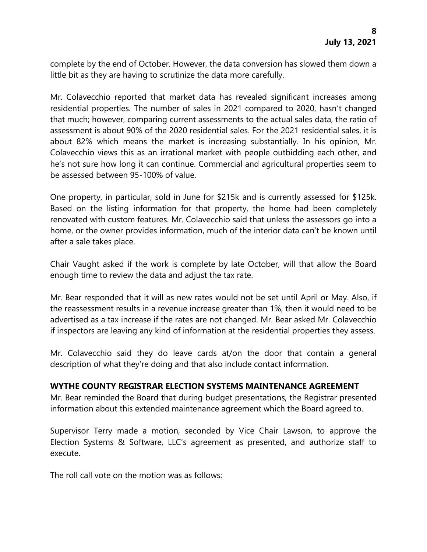complete by the end of October. However, the data conversion has slowed them down a little bit as they are having to scrutinize the data more carefully.

Mr. Colavecchio reported that market data has revealed significant increases among residential properties. The number of sales in 2021 compared to 2020, hasn't changed that much; however, comparing current assessments to the actual sales data, the ratio of assessment is about 90% of the 2020 residential sales. For the 2021 residential sales, it is about 82% which means the market is increasing substantially. In his opinion, Mr. Colavecchio views this as an irrational market with people outbidding each other, and he's not sure how long it can continue. Commercial and agricultural properties seem to be assessed between 95-100% of value.

One property, in particular, sold in June for \$215k and is currently assessed for \$125k. Based on the listing information for that property, the home had been completely renovated with custom features. Mr. Colavecchio said that unless the assessors go into a home, or the owner provides information, much of the interior data can't be known until after a sale takes place.

Chair Vaught asked if the work is complete by late October, will that allow the Board enough time to review the data and adjust the tax rate.

Mr. Bear responded that it will as new rates would not be set until April or May. Also, if the reassessment results in a revenue increase greater than 1%, then it would need to be advertised as a tax increase if the rates are not changed. Mr. Bear asked Mr. Colavecchio if inspectors are leaving any kind of information at the residential properties they assess.

Mr. Colavecchio said they do leave cards at/on the door that contain a general description of what they're doing and that also include contact information.

## **WYTHE COUNTY REGISTRAR ELECTION SYSTEMS MAINTENANCE AGREEMENT**

Mr. Bear reminded the Board that during budget presentations, the Registrar presented information about this extended maintenance agreement which the Board agreed to.

Supervisor Terry made a motion, seconded by Vice Chair Lawson, to approve the Election Systems & Software, LLC's agreement as presented, and authorize staff to execute.

The roll call vote on the motion was as follows: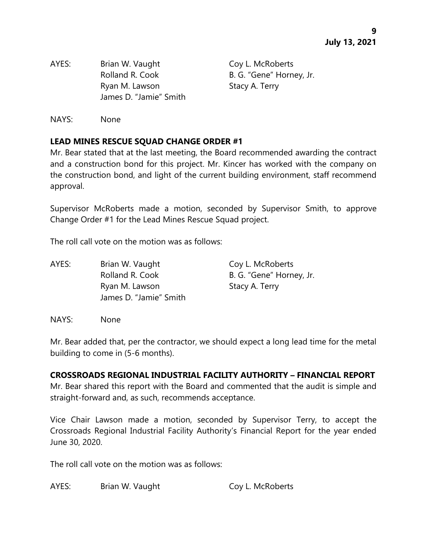AYES: Brian W. Vaught Coy L. McRoberts Rolland R. Cook B. G. "Gene" Horney, Jr. Ryan M. Lawson Stacy A. Terry James D. "Jamie" Smith

NAYS: None

# **LEAD MINES RESCUE SQUAD CHANGE ORDER #1**

Mr. Bear stated that at the last meeting, the Board recommended awarding the contract and a construction bond for this project. Mr. Kincer has worked with the company on the construction bond, and light of the current building environment, staff recommend approval.

Supervisor McRoberts made a motion, seconded by Supervisor Smith, to approve Change Order #1 for the Lead Mines Rescue Squad project.

The roll call vote on the motion was as follows:

AYES: Brian W. Vaught Coy L. McRoberts Rolland R. Cook B. G. "Gene" Horney, Jr. Ryan M. Lawson Stacy A. Terry James D. "Jamie" Smith

NAYS: None

Mr. Bear added that, per the contractor, we should expect a long lead time for the metal building to come in (5-6 months).

## **CROSSROADS REGIONAL INDUSTRIAL FACILITY AUTHORITY – FINANCIAL REPORT**

Mr. Bear shared this report with the Board and commented that the audit is simple and straight-forward and, as such, recommends acceptance.

Vice Chair Lawson made a motion, seconded by Supervisor Terry, to accept the Crossroads Regional Industrial Facility Authority's Financial Report for the year ended June 30, 2020.

The roll call vote on the motion was as follows:

AYES: Brian W. Vaught Coy L. McRoberts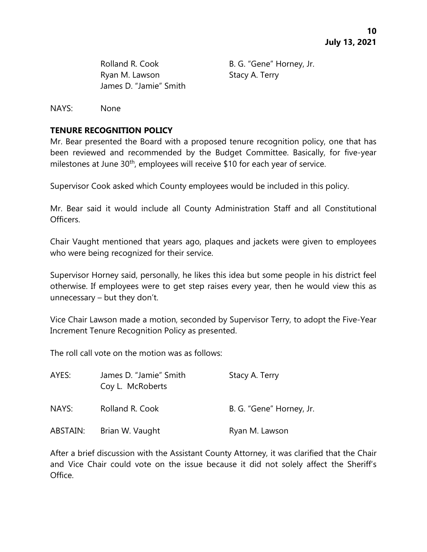Rolland R. Cook B. G. "Gene" Horney, Jr. Ryan M. Lawson Stacy A. Terry James D. "Jamie" Smith

NAYS: None

## **TENURE RECOGNITION POLICY**

Mr. Bear presented the Board with a proposed tenure recognition policy, one that has been reviewed and recommended by the Budget Committee. Basically, for five-year milestones at June 30<sup>th</sup>, employees will receive \$10 for each year of service.

Supervisor Cook asked which County employees would be included in this policy.

Mr. Bear said it would include all County Administration Staff and all Constitutional Officers.

Chair Vaught mentioned that years ago, plaques and jackets were given to employees who were being recognized for their service.

Supervisor Horney said, personally, he likes this idea but some people in his district feel otherwise. If employees were to get step raises every year, then he would view this as unnecessary – but they don't.

Vice Chair Lawson made a motion, seconded by Supervisor Terry, to adopt the Five-Year Increment Tenure Recognition Policy as presented.

The roll call vote on the motion was as follows:

| AYES:    | James D. "Jamie" Smith<br>Coy L. McRoberts | Stacy A. Terry           |
|----------|--------------------------------------------|--------------------------|
| NAYS:    | Rolland R. Cook                            | B. G. "Gene" Horney, Jr. |
| ABSTAIN: | Brian W. Vaught                            | Ryan M. Lawson           |

After a brief discussion with the Assistant County Attorney, it was clarified that the Chair and Vice Chair could vote on the issue because it did not solely affect the Sheriff's Office.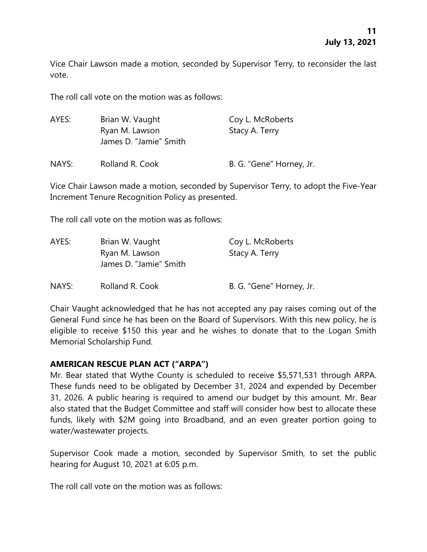Vice Chair Lawson made a motion, seconded by Supervisor Terry, to reconsider the last vote.

The roll call vote on the motion was as follows:

| AYES: | Brian W. Vaught<br>Ryan M. Lawson<br>James D. "Jamie" Smith | Coy L. McRoberts<br>Stacy A. Terry |
|-------|-------------------------------------------------------------|------------------------------------|
| NAYS: | Rolland R. Cook                                             | B. G. "Gene" Horney, Jr.           |

Vice Chair Lawson made a motion, seconded by Supervisor Terry, to adopt the Five-Year Increment Tenure Recognition Policy as presented.

The roll call vote on the motion was as follows:

| AYES: | Brian W. Vaught                          | Coy L. McRoberts         |
|-------|------------------------------------------|--------------------------|
|       | Ryan M. Lawson<br>James D. "Jamie" Smith | Stacy A. Terry           |
| NAYS: | Rolland R. Cook                          | B. G. "Gene" Horney, Jr. |

Chair Vaught acknowledged that he has not accepted any pay raises coming out of the General Fund since he has been on the Board of Supervisors. With this new policy, he is eligible to receive \$150 this year and he wishes to donate that to the Logan Smith Memorial Scholarship Fund.

## **AMERICAN RESCUE PLAN ACT ("ARPA")**

Mr. Bear stated that Wythe County is scheduled to receive \$5,571,531 through ARPA. These funds need to be obligated by December 31, 2024 and expended by December 31, 2026. A public hearing is required to amend our budget by this amount. Mr. Bear also stated that the Budget Committee and staff will consider how best to allocate these funds, likely with \$2M going into Broadband, and an even greater portion going to water/wastewater projects.

Supervisor Cook made a motion, seconded by Supervisor Smith, to set the public hearing for August 10, 2021 at 6:05 p.m.

The roll call vote on the motion was as follows: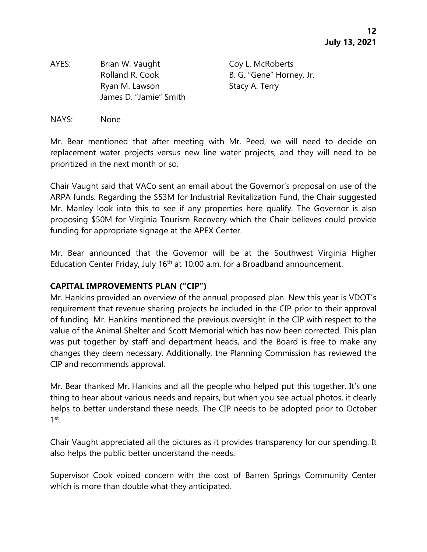AYES: Brian W. Vaught Coy L. McRoberts Rolland R. Cook B. G. "Gene" Horney, Jr. Ryan M. Lawson Stacy A. Terry James D. "Jamie" Smith

#### NAYS: None

Mr. Bear mentioned that after meeting with Mr. Peed, we will need to decide on replacement water projects versus new line water projects, and they will need to be prioritized in the next month or so.

Chair Vaught said that VACo sent an email about the Governor's proposal on use of the ARPA funds. Regarding the \$53M for Industrial Revitalization Fund, the Chair suggested Mr. Manley look into this to see if any properties here qualify. The Governor is also proposing \$50M for Virginia Tourism Recovery which the Chair believes could provide funding for appropriate signage at the APEX Center.

Mr. Bear announced that the Governor will be at the Southwest Virginia Higher Education Center Friday, July 16<sup>th</sup> at 10:00 a.m. for a Broadband announcement.

#### **CAPITAL IMPROVEMENTS PLAN ("CIP")**

Mr. Hankins provided an overview of the annual proposed plan. New this year is VDOT's requirement that revenue sharing projects be included in the CIP prior to their approval of funding. Mr. Hankins mentioned the previous oversight in the CIP with respect to the value of the Animal Shelter and Scott Memorial which has now been corrected. This plan was put together by staff and department heads, and the Board is free to make any changes they deem necessary. Additionally, the Planning Commission has reviewed the CIP and recommends approval.

Mr. Bear thanked Mr. Hankins and all the people who helped put this together. It's one thing to hear about various needs and repairs, but when you see actual photos, it clearly helps to better understand these needs. The CIP needs to be adopted prior to October  $1$ <sup>st</sup>.

Chair Vaught appreciated all the pictures as it provides transparency for our spending. It also helps the public better understand the needs.

Supervisor Cook voiced concern with the cost of Barren Springs Community Center which is more than double what they anticipated.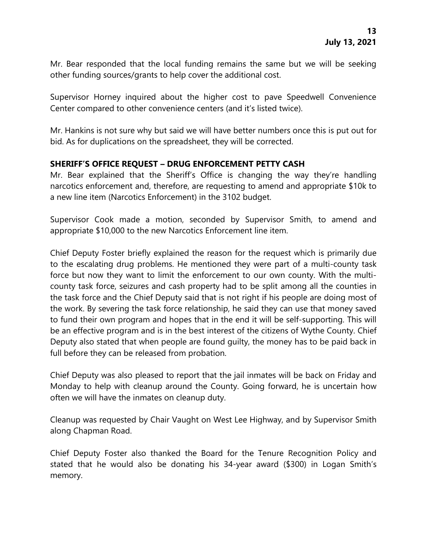Mr. Bear responded that the local funding remains the same but we will be seeking other funding sources/grants to help cover the additional cost.

Supervisor Horney inquired about the higher cost to pave Speedwell Convenience Center compared to other convenience centers (and it's listed twice).

Mr. Hankins is not sure why but said we will have better numbers once this is put out for bid. As for duplications on the spreadsheet, they will be corrected.

# **SHERIFF'S OFFICE REQUEST – DRUG ENFORCEMENT PETTY CASH**

Mr. Bear explained that the Sheriff's Office is changing the way they're handling narcotics enforcement and, therefore, are requesting to amend and appropriate \$10k to a new line item (Narcotics Enforcement) in the 3102 budget.

Supervisor Cook made a motion, seconded by Supervisor Smith, to amend and appropriate \$10,000 to the new Narcotics Enforcement line item.

Chief Deputy Foster briefly explained the reason for the request which is primarily due to the escalating drug problems. He mentioned they were part of a multi-county task force but now they want to limit the enforcement to our own county. With the multicounty task force, seizures and cash property had to be split among all the counties in the task force and the Chief Deputy said that is not right if his people are doing most of the work. By severing the task force relationship, he said they can use that money saved to fund their own program and hopes that in the end it will be self-supporting. This will be an effective program and is in the best interest of the citizens of Wythe County. Chief Deputy also stated that when people are found guilty, the money has to be paid back in full before they can be released from probation.

Chief Deputy was also pleased to report that the jail inmates will be back on Friday and Monday to help with cleanup around the County. Going forward, he is uncertain how often we will have the inmates on cleanup duty.

Cleanup was requested by Chair Vaught on West Lee Highway, and by Supervisor Smith along Chapman Road.

Chief Deputy Foster also thanked the Board for the Tenure Recognition Policy and stated that he would also be donating his 34-year award (\$300) in Logan Smith's memory.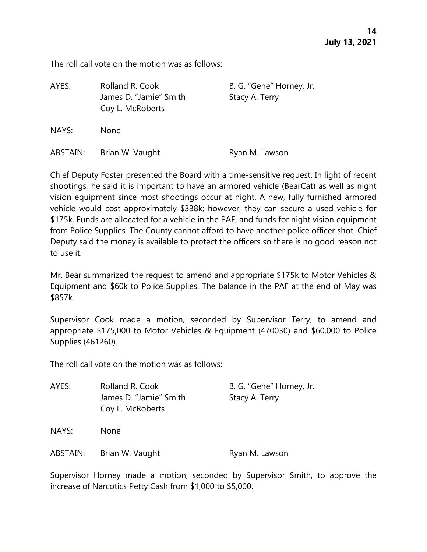The roll call vote on the motion was as follows:

| AYES:    | Rolland R. Cook<br>James D. "Jamie" Smith<br>Coy L. McRoberts | B. G. "Gene" Horney, Jr.<br>Stacy A. Terry |
|----------|---------------------------------------------------------------|--------------------------------------------|
| NAYS:    | <b>None</b>                                                   |                                            |
| ABSTAIN: | Brian W. Vaught                                               | Ryan M. Lawson                             |

Chief Deputy Foster presented the Board with a time-sensitive request. In light of recent shootings, he said it is important to have an armored vehicle (BearCat) as well as night vision equipment since most shootings occur at night. A new, fully furnished armored vehicle would cost approximately \$338k; however, they can secure a used vehicle for \$175k. Funds are allocated for a vehicle in the PAF, and funds for night vision equipment from Police Supplies. The County cannot afford to have another police officer shot. Chief Deputy said the money is available to protect the officers so there is no good reason not to use it.

Mr. Bear summarized the request to amend and appropriate \$175k to Motor Vehicles & Equipment and \$60k to Police Supplies. The balance in the PAF at the end of May was \$857k.

Supervisor Cook made a motion, seconded by Supervisor Terry, to amend and appropriate \$175,000 to Motor Vehicles & Equipment (470030) and \$60,000 to Police Supplies (461260).

The roll call vote on the motion was as follows:

| AYES: | Rolland R. Cook        | B. G. "Gene" Horney, Jr. |
|-------|------------------------|--------------------------|
|       | James D. "Jamie" Smith | Stacy A. Terry           |
|       | Coy L. McRoberts       |                          |
| NAYS: | <b>None</b>            |                          |

ABSTAIN: Brian W. Vaught Ryan M. Lawson

Supervisor Horney made a motion, seconded by Supervisor Smith, to approve the increase of Narcotics Petty Cash from \$1,000 to \$5,000.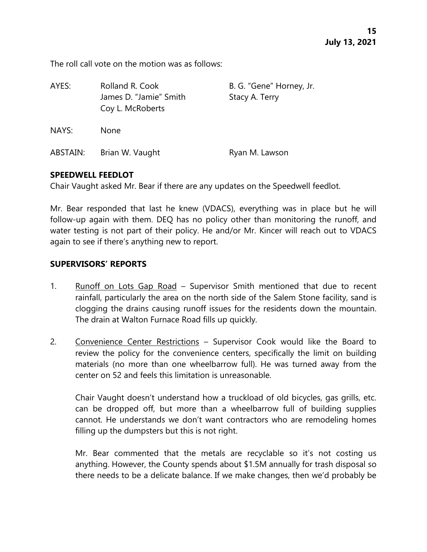The roll call vote on the motion was as follows:

| AYES:    | Rolland R. Cook<br>James D. "Jamie" Smith<br>Coy L. McRoberts | B. G. "Gene" Horney, Jr.<br>Stacy A. Terry |
|----------|---------------------------------------------------------------|--------------------------------------------|
| NAYS:    | <b>None</b>                                                   |                                            |
| ABSTAIN: | Brian W. Vaught                                               | Ryan M. Lawson                             |

#### **SPEEDWELL FEEDLOT**

Chair Vaught asked Mr. Bear if there are any updates on the Speedwell feedlot.

Mr. Bear responded that last he knew (VDACS), everything was in place but he will follow-up again with them. DEQ has no policy other than monitoring the runoff, and water testing is not part of their policy. He and/or Mr. Kincer will reach out to VDACS again to see if there's anything new to report.

## **SUPERVISORS' REPORTS**

- 1. Runoff on Lots Gap Road Supervisor Smith mentioned that due to recent rainfall, particularly the area on the north side of the Salem Stone facility, sand is clogging the drains causing runoff issues for the residents down the mountain. The drain at Walton Furnace Road fills up quickly.
- 2. Convenience Center Restrictions Supervisor Cook would like the Board to review the policy for the convenience centers, specifically the limit on building materials (no more than one wheelbarrow full). He was turned away from the center on 52 and feels this limitation is unreasonable.

Chair Vaught doesn't understand how a truckload of old bicycles, gas grills, etc. can be dropped off, but more than a wheelbarrow full of building supplies cannot. He understands we don't want contractors who are remodeling homes filling up the dumpsters but this is not right.

Mr. Bear commented that the metals are recyclable so it's not costing us anything. However, the County spends about \$1.5M annually for trash disposal so there needs to be a delicate balance. If we make changes, then we'd probably be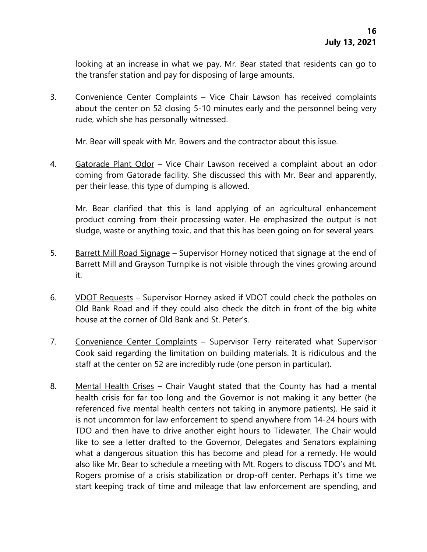looking at an increase in what we pay. Mr. Bear stated that residents can go to the transfer station and pay for disposing of large amounts.

3. Convenience Center Complaints – Vice Chair Lawson has received complaints about the center on 52 closing 5-10 minutes early and the personnel being very rude, which she has personally witnessed.

Mr. Bear will speak with Mr. Bowers and the contractor about this issue.

4. Gatorade Plant Odor – Vice Chair Lawson received a complaint about an odor coming from Gatorade facility. She discussed this with Mr. Bear and apparently, per their lease, this type of dumping is allowed.

Mr. Bear clarified that this is land applying of an agricultural enhancement product coming from their processing water. He emphasized the output is not sludge, waste or anything toxic, and that this has been going on for several years.

- 5. Barrett Mill Road Signage Supervisor Horney noticed that signage at the end of Barrett Mill and Grayson Turnpike is not visible through the vines growing around it.
- 6. VDOT Requests Supervisor Horney asked if VDOT could check the potholes on Old Bank Road and if they could also check the ditch in front of the big white house at the corner of Old Bank and St. Peter's.
- 7. Convenience Center Complaints Supervisor Terry reiterated what Supervisor Cook said regarding the limitation on building materials. It is ridiculous and the staff at the center on 52 are incredibly rude (one person in particular).
- 8. Mental Health Crises Chair Vaught stated that the County has had a mental health crisis for far too long and the Governor is not making it any better (he referenced five mental health centers not taking in anymore patients). He said it is not uncommon for law enforcement to spend anywhere from 14-24 hours with TDO and then have to drive another eight hours to Tidewater. The Chair would like to see a letter drafted to the Governor, Delegates and Senators explaining what a dangerous situation this has become and plead for a remedy. He would also like Mr. Bear to schedule a meeting with Mt. Rogers to discuss TDO's and Mt. Rogers promise of a crisis stabilization or drop-off center. Perhaps it's time we start keeping track of time and mileage that law enforcement are spending, and